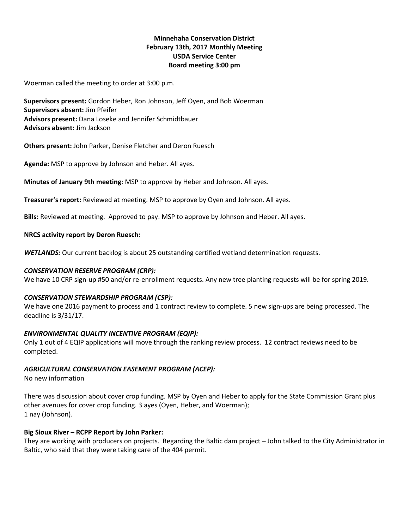# **Minnehaha Conservation District February 13th, 2017 Monthly Meeting USDA Service Center Board meeting 3:00 pm**

Woerman called the meeting to order at 3:00 p.m.

**Supervisors present:** Gordon Heber, Ron Johnson, Jeff Oyen, and Bob Woerman **Supervisors absent:** Jim Pfeifer **Advisors present:** Dana Loseke and Jennifer Schmidtbauer **Advisors absent:** Jim Jackson

**Others present:** John Parker, Denise Fletcher and Deron Ruesch

**Agenda:** MSP to approve by Johnson and Heber. All ayes.

**Minutes of January 9th meeting**: MSP to approve by Heber and Johnson. All ayes.

**Treasurer's report:** Reviewed at meeting. MSP to approve by Oyen and Johnson. All ayes.

**Bills:** Reviewed at meeting. Approved to pay. MSP to approve by Johnson and Heber. All ayes.

### **NRCS activity report by Deron Ruesch:**

*WETLANDS:* Our current backlog is about 25 outstanding certified wetland determination requests.

### *CONSERVATION RESERVE PROGRAM (CRP):*

We have 10 CRP sign-up #50 and/or re-enrollment requests. Any new tree planting requests will be for spring 2019.

### *CONSERVATION STEWARDSHIP PROGRAM (CSP):*

We have one 2016 payment to process and 1 contract review to complete. 5 new sign-ups are being processed. The deadline is 3/31/17.

## *ENVIRONMENTAL QUALITY INCENTIVE PROGRAM (EQIP):*

Only 1 out of 4 EQIP applications will move through the ranking review process. 12 contract reviews need to be completed.

## *AGRICULTURAL CONSERVATION EASEMENT PROGRAM (ACEP):*

No new information

There was discussion about cover crop funding. MSP by Oyen and Heber to apply for the State Commission Grant plus other avenues for cover crop funding. 3 ayes (Oyen, Heber, and Woerman); 1 nay (Johnson).

## **Big Sioux River – RCPP Report by John Parker:**

They are working with producers on projects. Regarding the Baltic dam project – John talked to the City Administrator in Baltic, who said that they were taking care of the 404 permit.